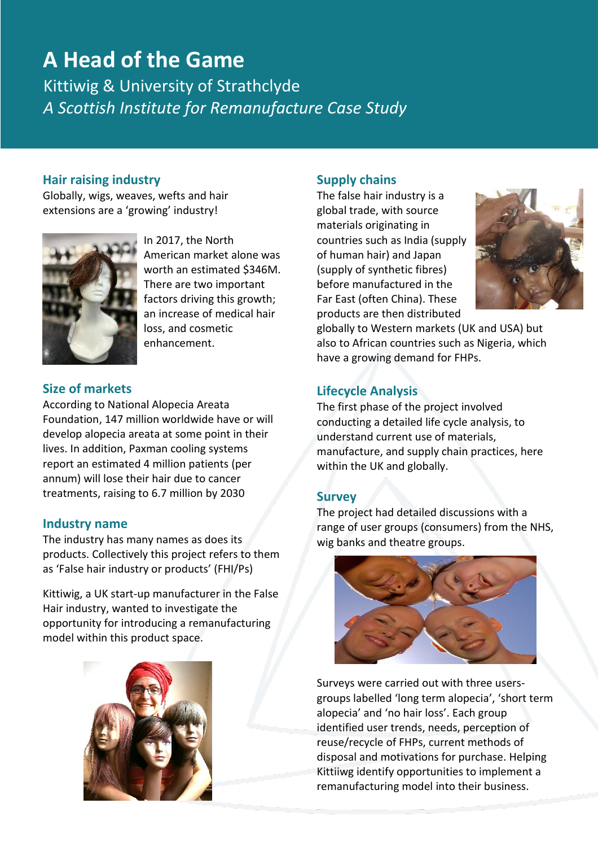# **A Head of the Game**

Kittiwig & University of Strathclyde *A Scottish Institute for Remanufacture Case Study* 

### **Hair raising industry**

Globally, wigs, weaves, wefts and hair extensions are a 'growing' industry!



In 2017, the North American market alone was worth an estimated \$346M. There are two important factors driving this growth; an increase of medical hair loss, and cosmetic enhancement.

# **Size of markets**

According to National Alopecia Areata Foundation, 147 million worldwide have or will develop alopecia areata at some point in their lives. In addition, Paxman cooling systems report an estimated 4 million patients (per annum) will lose their hair due to cancer treatments, raising to 6.7 million by 2030

#### **Industry name**

The industry has many names as does its products. Collectively this project refers to them as 'False hair industry or products' (FHI/Ps)

Kittiwig, a UK start-up manufacturer in the False Hair industry, wanted to investigate the opportunity for introducing a remanufacturing model within this product space.



#### **Supply chains**

The false hair industry is a global trade, with source materials originating in countries such as India (supply of human hair) and Japan (supply of synthetic fibres) before manufactured in the Far East (often China). These products are then distributed



globally to Western markets (UK and USA) but also to African countries such as Nigeria, which have a growing demand for FHPs.

# **Lifecycle Analysis**

The first phase of the project involved conducting a detailed life cycle analysis, to understand current use of materials, manufacture, and supply chain practices, here within the UK and globally.

#### **Survey**

The project had detailed discussions with a range of user groups (consumers) from the NHS, wig banks and theatre groups.



Surveys were carried out with three usersgroups labelled 'long term alopecia', 'short term alopecia' and 'no hair loss'. Each group identified user trends, needs, perception of reuse/recycle of FHPs, current methods of disposal and motivations for purchase. Helping Kittiiwg identify opportunities to implement a remanufacturing model into their business.